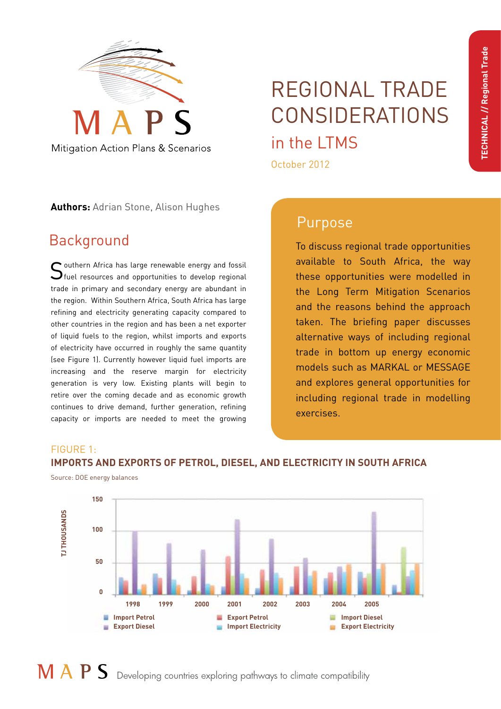

# Mitigation Action Plans & Scenarios

# REGIONAL TRADE CONSIDERATIONS in the LTMS

October 2012

**Authors:** Adrian Stone, Alison Hughes

# Background

 $\bigcap$  outhern Africa has large renewable energy and fossil  $\bigcup$ fuel resources and opportunities to develop regional trade in primary and secondary energy are abundant in the region. Within Southern Africa, South Africa has large refining and electricity generating capacity compared to other countries in the region and has been a net exporter of liquid fuels to the region, whilst imports and exports of electricity have occurred in roughly the same quantity (see Figure 1). Currently however liquid fuel imports are increasing and the reserve margin for electricity generation is very low. Existing plants will begin to retire over the coming decade and as economic growth continues to drive demand, further generation, refining capacity or imports are needed to meet the growing

# Purpose

To discuss regional trade opportunities available to South Africa, the way these opportunities were modelled in the Long Term Mitigation Scenarios and the reasons behind the approach taken. The briefing paper discusses alternative ways of including regional trade in bottom up energy economic models such as MARKAL or MESSAGE and explores general opportunities for including regional trade in modelling exercises.

## FIGURE 1:

## **IMPORTS AND EXPORTS OF PETROL, DIESEL, AND ELECTRICITY IN SOUTH AFRICA**

Source: DOE energy balances

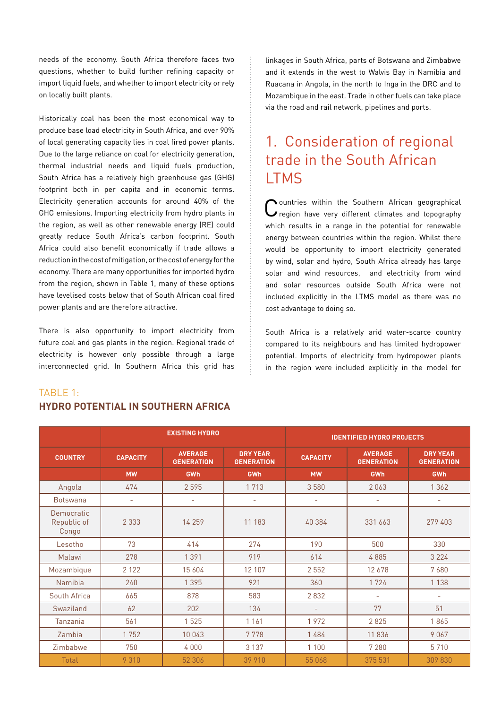needs of the economy. South Africa therefore faces two questions, whether to build further refining capacity or import liquid fuels, and whether to import electricity or rely on locally built plants.

Historically coal has been the most economical way to produce base load electricity in South Africa, and over 90% of local generating capacity lies in coal fired power plants. Due to the large reliance on coal for electricity generation, thermal industrial needs and liquid fuels production, South Africa has a relatively high greenhouse gas (GHG) footprint both in per capita and in economic terms. Electricity generation accounts for around 40% of the GHG emissions. Importing electricity from hydro plants in the region, as well as other renewable energy (RE) could greatly reduce South Africa's carbon footprint. South Africa could also benefit economically if trade allows a reduction in the cost of mitigation, or the cost of energy for the economy. There are many opportunities for imported hydro from the region, shown in Table 1, many of these options have levelised costs below that of South African coal fired power plants and are therefore attractive.

There is also opportunity to import electricity from future coal and gas plants in the region. Regional trade of electricity is however only possible through a large interconnected grid. In Southern Africa this grid has

## linkages in South Africa, parts of Botswana and Zimbabwe and it extends in the west to Walvis Bay in Namibia and Ruacana in Angola, in the north to Inga in the DRC and to Mozambique in the east. Trade in other fuels can take place via the road and rail network, pipelines and ports.

# 1. Consideration of regional trade in the South African **LTMS**

Countries within the Southern African geographical<br>
C region have very different climates and topography which results in a range in the potential for renewable energy between countries within the region. Whilst there would be opportunity to import electricity generated by wind, solar and hydro, South Africa already has large solar and wind resources, and electricity from wind and solar resources outside South Africa were not included explicitly in the LTMS model as there was no cost advantage to doing so.

South Africa is a relatively arid water-scarce country compared to its neighbours and has limited hydropower potential. Imports of electricity from hydropower plants in the region were included explicitly in the model for

|                                    | <b>EXISTING HYDRO</b> |                                     |                                      | <b>IDENTIFIED HYDRO PROJECTS</b> |                                     |                                      |
|------------------------------------|-----------------------|-------------------------------------|--------------------------------------|----------------------------------|-------------------------------------|--------------------------------------|
| <b>COUNTRY</b>                     | <b>CAPACITY</b>       | <b>AVERAGE</b><br><b>GENERATION</b> | <b>DRY YEAR</b><br><b>GENERATION</b> | <b>CAPACITY</b>                  | <b>AVERAGE</b><br><b>GENERATION</b> | <b>DRY YEAR</b><br><b>GENERATION</b> |
|                                    | <b>MW</b>             | <b>GWh</b>                          | GWh                                  | <b>MW</b>                        | GWh                                 | <b>GWh</b>                           |
| Angola                             | 474                   | 2595                                | 1713                                 | 3580                             | 2063                                | 1 3 6 2                              |
| <b>Botswana</b>                    | $\qquad \qquad -$     | $\overline{\phantom{a}}$            |                                      | -                                | $\overline{\phantom{a}}$            | $\overline{\phantom{a}}$             |
| Democratic<br>Republic of<br>Congo | 2 3 3 3               | 14 2 5 9                            | 11 183                               | 40 384                           | 331 663                             | 279 403                              |
| Lesotho                            | 73                    | 414                                 | 274                                  | 190                              | 500                                 | 330                                  |
| Malawi                             | 278                   | 1391                                | 919                                  | 614                              | 4885                                | 3 2 2 4                              |
| Mozambique                         | 2 1 2 2               | 15 604                              | 12 107                               | 2 5 5 2                          | 12678                               | 7680                                 |
| Namibia                            | 240                   | 1 3 9 5                             | 921                                  | 360                              | 1724                                | 1 1 3 8                              |
| South Africa                       | 665                   | 878                                 | 583                                  | 2832                             | ٠                                   | $\overline{\phantom{a}}$             |
| Swaziland                          | 62                    | 202                                 | 134                                  | ÷                                | 77                                  | 51                                   |
| Tanzania                           | 561                   | 1525                                | 1 1 6 1                              | 1972                             | 2825                                | 1865                                 |
| Zambia                             | 1752                  | 10 043                              | 7778                                 | 1484                             | 11836                               | 9067                                 |
| Zimbabwe                           | 750                   | 4 0 0 0                             | 3 1 3 7                              | 1 1 0 0                          | 7 2 8 0                             | 5710                                 |
| Total                              | 9 3 1 0               | 52 306                              | 39 910                               | 55 068                           | 375 531                             | 309 830                              |

## TABLE 1: **HYDRO POTENTIAL IN SOUTHERN AFRICA**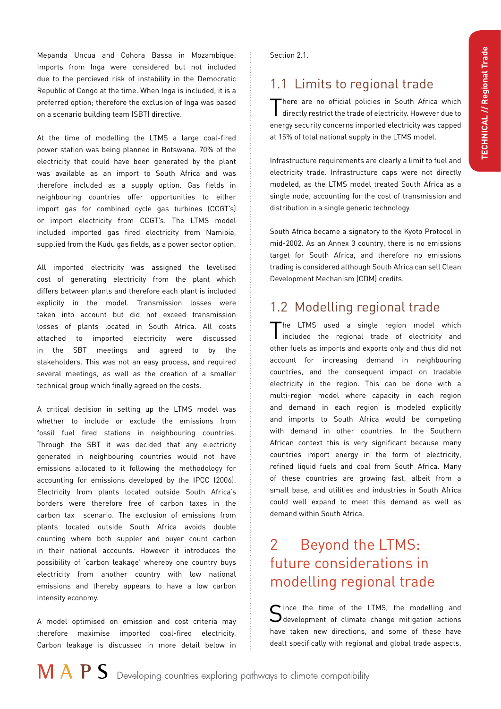Mepanda Uncua and Cohora Bassa in Mozambique. Imports from Inga were considered but not included due to the percieved risk of instability in the Democratic Republic of Congo at the time. When Inga is included, it is a preferred option; therefore the exclusion of Inga was based on a scenario building team (SBT) directive.

At the time of modelling the LTMS a large coal-fired power station was being planned in Botswana. 70% of the electricity that could have been generated by the plant was available as an import to South Africa and was therefore included as a supply option. Gas fields in neighbouring countries offer opportunities to either import gas for combined cycle gas turbines (CCGT's) or import electricity from CCGT's. The LTMS model included imported gas fired electricity from Namibia, supplied from the Kudu gas fields, as a power sector option.

All imported electricity was assigned the levelised cost of generating electricity from the plant which differs between plants and therefore each plant is included explicity in the model. Transmission losses were taken into account but did not exceed transmission losses of plants located in South Africa. All costs attached to imported electricity were discussed in the SBT meetings and agreed to by the stakeholders. This was not an easy process, and required several meetings, as well as the creation of a smaller technical group which finally agreed on the costs.

A critical decision in setting up the LTMS model was whether to include or exclude the emissions from fossil fuel fired stations in neighbouring countries. Through the SBT it was decided that any electricity generated in neighbouring countries would not have emissions allocated to it following the methodology for accounting for emissions developed by the IPCC (2006). Electricity from plants located outside South Africa's borders were therefore free of carbon taxes in the carbon tax scenario. The exclusion of emissions from plants located outside South Africa avoids double counting where both suppler and buyer count carbon in their national accounts. However it introduces the possibility of 'carbon leakage' whereby one country buys electricity from another country with low national emissions and thereby appears to have a low carbon intensity economy.

A model optimised on emission and cost criteria may therefore maximise imported coal-fired electricity. Carbon leakage is discussed in more detail below in

Section 2.1.

# 1.1 Limits to regional trade

There are no official policies in South Africa which directly restrict the trade of electricity. However due to energy security concerns imported electricity was capped at 15% of total national supply in the LTMS model.

Infrastructure requirements are clearly a limit to fuel and electricity trade. Infrastructure caps were not directly modeled, as the LTMS model treated South Africa as a single node, accounting for the cost of transmission and distribution in a single generic technology.

South Africa became a signatory to the Kyoto Protocol in mid-2002. As an Annex 3 country, there is no emissions target for South Africa, and therefore no emissions trading is considered although South Africa can sell Clean Development Mechanism (CDM) credits.

## 1.2 Modelling regional trade

The LTMS used a single region model which included the regional trade of electricity and other fuels as imports and exports only and thus did not account for increasing demand in neighbouring countries, and the consequent impact on tradable electricity in the region. This can be done with a multi-region model where capacity in each region and demand in each region is modeled explicitly and imports to South Africa would be competing with demand in other countries. In the Southern African context this is very significant because many countries import energy in the form of electricity, refined liquid fuels and coal from South Africa. Many of these countries are growing fast, albeit from a small base, and utilities and industries in South Africa could well expand to meet this demand as well as demand within South Africa.

# 2 Beyond the LTMS: future considerations in modelling regional trade

ince the time of the LTMS, the modelling and  $\bigcup$  development of climate change mitigation actions have taken new directions, and some of these have dealt specifically with regional and global trade aspects,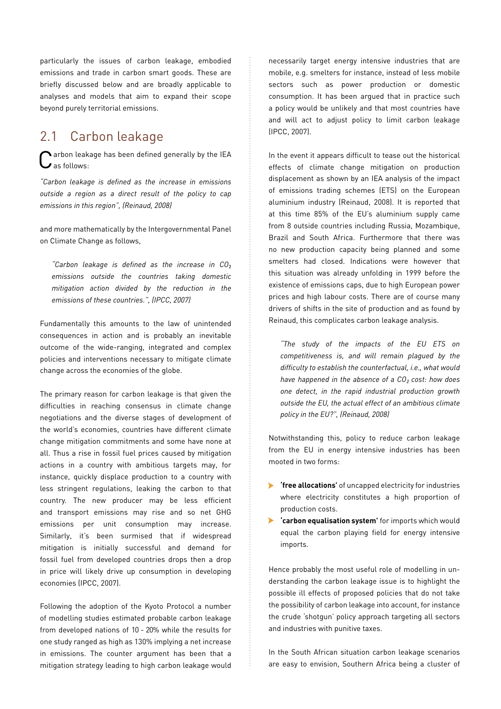particularly the issues of carbon leakage, embodied emissions and trade in carbon smart goods. These are briefly discussed below and are broadly applicable to analyses and models that aim to expand their scope beyond purely territorial emissions.

## 2.1 Carbon leakage

arbon leakage has been defined generally by the IEA  $\overline{\phantom{a}}$  as follows:

*"Carbon leakage is defined as the increase in emissions outside a region as a direct result of the policy to cap emissions in this region", (Reinaud, 2008)*

and more mathematically by the Intergovernmental Panel on Climate Change as follows,

*"Carbon leakage is defined as the increase in CO*<sup>²</sup> *emissions outside the countries taking domestic mitigation action divided by the reduction in the emissions of these countries.", (IPCC, 2007)*

Fundamentally this amounts to the law of unintended consequences in action and is probably an inevitable outcome of the wide-ranging, integrated and complex policies and interventions necessary to mitigate climate change across the economies of the globe.

The primary reason for carbon leakage is that given the difficulties in reaching consensus in climate change negotiations and the diverse stages of development of the world's economies, countries have different climate change mitigation commitments and some have none at all. Thus a rise in fossil fuel prices caused by mitigation actions in a country with ambitious targets may, for instance, quickly displace production to a country with less stringent regulations, leaking the carbon to that country. The new producer may be less efficient and transport emissions may rise and so net GHG emissions per unit consumption may increase. Similarly, it's been surmised that if widespread mitigation is initially successful and demand for fossil fuel from developed countries drops then a drop in price will likely drive up consumption in developing economies (IPCC, 2007).

Following the adoption of the Kyoto Protocol a number of modelling studies estimated probable carbon leakage from developed nations of 10 - 20% while the results for one study ranged as high as 130% implying a net increase in emissions. The counter argument has been that a mitigation strategy leading to high carbon leakage would

necessarily target energy intensive industries that are mobile, e.g. smelters for instance, instead of less mobile sectors such as power production or domestic consumption. It has been argued that in practice such a policy would be unlikely and that most countries have and will act to adjust policy to limit carbon leakage (IPCC, 2007).

In the event it appears difficult to tease out the historical effects of climate change mitigation on production displacement as shown by an IEA analysis of the impact of emissions trading schemes (ETS) on the European aluminium industry (Reinaud, 2008). It is reported that at this time 85% of the EU's aluminium supply came from 8 outside countries including Russia, Mozambique, Brazil and South Africa. Furthermore that there was no new production capacity being planned and some smelters had closed. Indications were however that this situation was already unfolding in 1999 before the existence of emissions caps, due to high European power prices and high labour costs. There are of course many drivers of shifts in the site of production and as found by Reinaud, this complicates carbon leakage analysis.

*"The study of the impacts of the EU ETS on competitiveness is, and will remain plagued by the difficulty to establish the counterfactual, i.e., what would have happened in the absence of a CO² cost: how does one detect, in the rapid industrial production growth outside the EU, the actual effect of an ambitious climate policy in the EU?", (Reinaud, 2008)*

Notwithstanding this, policy to reduce carbon leakage from the EU in energy intensive industries has been mooted in two forms:

- **'free allocations'** of uncapped electricity for industries where electricity constitutes a high proportion of production costs.
- • **'carbon equalisation system'** for imports which would equal the carbon playing field for energy intensive imports.

Hence probably the most useful role of modelling in understanding the carbon leakage issue is to highlight the possible ill effects of proposed policies that do not take the possibility of carbon leakage into account, for instance the crude 'shotgun' policy approach targeting all sectors and industries with punitive taxes.

In the South African situation carbon leakage scenarios are easy to envision, Southern Africa being a cluster of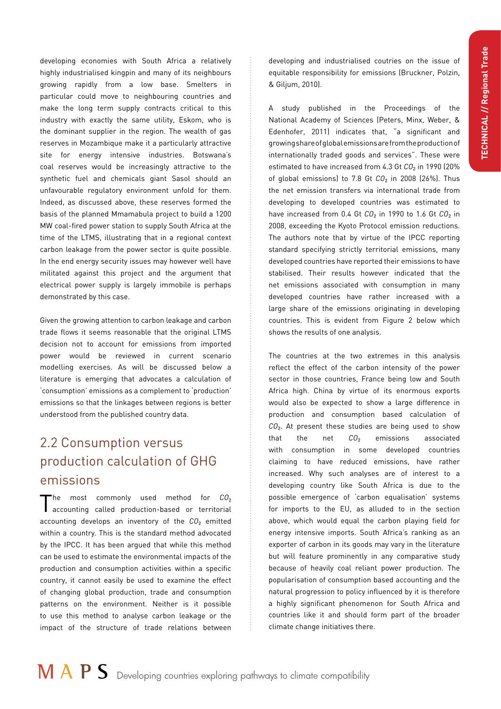developing economies with South Africa a relatively highly industrialised kingpin and many of its neighbours growing rapidly from a low base. Smelters in particular could move to neighbouring countries and make the long term supply contracts critical to this industry with exactly the same utility, Eskom, who is the dominant supplier in the region. The wealth of gas reserves in Mozambique make it a particularly attractive site for energy intensive industries. Botswana's coal reserves would be increasingly attractive to the synthetic fuel and chemicals giant Sasol should an unfavourable regulatory environment unfold for them. Indeed, as discussed above, these reserves formed the basis of the planned Mmamabula project to build a 1200 MW coal-fired power station to supply South Africa at the time of the LTMS, illustrating that in a regional context carbon leakage from the power sector is quite possible. In the end energy security issues may however well have militated against this project and the argument that electrical power supply is largely immobile is perhaps demonstrated by this case.

Given the growing attention to carbon leakage and carbon trade flows it seems reasonable that the original LTMS decision not to account for emissions from imported power would be reviewed in current scenario modelling exercises. As will be discussed below a literature is emerging that advocates a calculation of 'consumption' emissions as a complement to 'production' emissions so that the linkages between regions is better understood from the published country data.

# 2.2 Consumption versus production calculation of GHG emissions

The most commonly used method for *CO*<sub>2</sub><br>accounting called production-based or territorial accounting develops an inventory of the  $CO<sub>2</sub>$  emitted within a country. This is the standard method advocated by the IPCC. It has been argued that while this method can be used to estimate the environmental impacts of the production and consumption activities within a specific country, it cannot easily be used to examine the effect of changing global production, trade and consumption patterns on the environment. Neither is it possible to use this method to analyse carbon leakage or the impact of the structure of trade relations between

developing and industrialised coutries on the issue of equitable responsibility for emissions (Bruckner, Polzin, & Giljum, 2010).

A study published in the Proceedings of the National Academy of Sciences (Peters, Minx, Weber, & Edenhofer, 2011) indicates that, "a significant and growing share of global emissions are from the production of internationally traded goods and services". These were estimated to have increased from 4.3 Gt CO<sub>2</sub> in 1990 (20% of global emissions) to 7.8 Gt *CO*<sub>2</sub> in 2008 (26%). Thus the net emission transfers via international trade from developing to developed countries was estimated to have increased from 0.4 Gt *CO*<sub>2</sub> in 1990 to 1.6 Gt *CO*<sub>2</sub> in 2008, exceeding the Kyoto Protocol emission reductions. The authors note that by virtue of the IPCC reporting standard specifying strictly territorial emissions, many developed countries have reported their emissions to have stabilised. Their results however indicated that the net emissions associated with consumption in many developed countries have rather increased with a large share of the emissions originating in developing countries. This is evident from Figure 2 below which shows the results of one analysis.

The countries at the two extremes in this analysis reflect the effect of the carbon intensity of the power sector in those countries, France being low and South Africa high. China by virtue of its enormous exports would also be expected to show a large difference in production and consumption based calculation of *CO*<sup>²</sup> . At present these studies are being used to show that the net *CO*<sup>²</sup>  $CO<sub>2</sub>$  emissions associated with consumption in some developed countries claiming to have reduced emissions, have rather increased. Why such analyses are of interest to a developing country like South Africa is due to the possible emergence of 'carbon equalisation' systems for imports to the EU, as alluded to in the section above, which would equal the carbon playing field for energy intensive imports. South Africa's ranking as an exporter of carbon in its goods may vary in the literature but will feature prominently in any comparative study because of heavily coal reliant power production. The popularisation of consumption based accounting and the natural progression to policy influenced by it is therefore a highly significant phenomenon for South Africa and countries like it and should form part of the broader climate change initiatives there.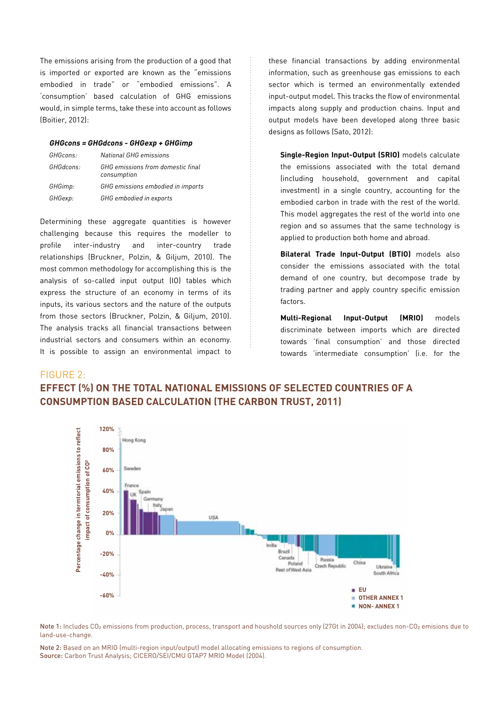The emissions arising from the production of a good that is imported or exported are known as the "emissions embodied in trade" or "embodied emissions". A 'consumption' based calculation of GHG emissions would, in simple terms, take these into account as follows (Boitier, 2012):

#### **GHGcons = GHGdcons - GHGexp + GHGimp**

| GHGcons:  | National GHG emissions                           |
|-----------|--------------------------------------------------|
| GHGdcons: | GHG emissions from domestic final<br>consumption |
| GHGimp:   | GHG emissions embodied in imports                |
| GHGexp:   | GHG embodied in exports                          |

Determining these aggregate quantities is however challenging because this requires the modeller to profile inter-industry and inter-country trade relationships (Bruckner, Polzin, & Giljum, 2010). The most common methodology for accomplishing this is the analysis of so-called input output (IO) tables which express the structure of an economy in terms of its inputs, its various sectors and the nature of the outputs from those sectors (Bruckner, Polzin, & Giljum, 2010). The analysis tracks all financial transactions between industrial sectors and consumers within an economy. It is possible to assign an environmental impact to

these financial transactions by adding environmental information, such as greenhouse gas emissions to each sector which is termed an environmentally extended input-output model. This tracks the flow of environmental impacts along supply and production chains. Input and output models have been developed along three basic designs as follows (Sato, 2012):

**Single-Region Input-Output (SRIO)** models calculate the emissions associated with the total demand (including household, government and capital investment) in a single country, accounting for the embodied carbon in trade with the rest of the world. This model aggregates the rest of the world into one region and so assumes that the same technology is applied to production both home and abroad.

**Bilateral Trade Input-Output (BTIO)** models also consider the emissions associated with the total demand of one country, but decompose trade by trading partner and apply country specific emission factors.

**Multi-Regional Input-Output (MRIO)** models discriminate between imports which are directed towards 'final consumption' and those directed towards 'intermediate consumption' (i.e. for the

#### FIGURE 2:

## **EFFECT (%) ON THE TOTAL NATIONAL EMISSIONS OF SELECTED COUNTRIES OF A CONSUMPTION BASED CALCULATION (THE CARBON TRUST, 2011)**



Note 1: Includes CO<sub>2</sub> emissions from production, process, transport and houshold sources only (27Gt in 2004); excludes non-CO<sub>2</sub> emisions due to land-use-change.

Note 2: Based on an MRIO (multi-region input/output) model allocating emissions to regions of consumption. Source: Carbon Trust Analysis; CICERO/SEI/CMU GTAP7 MRIO Model (2004).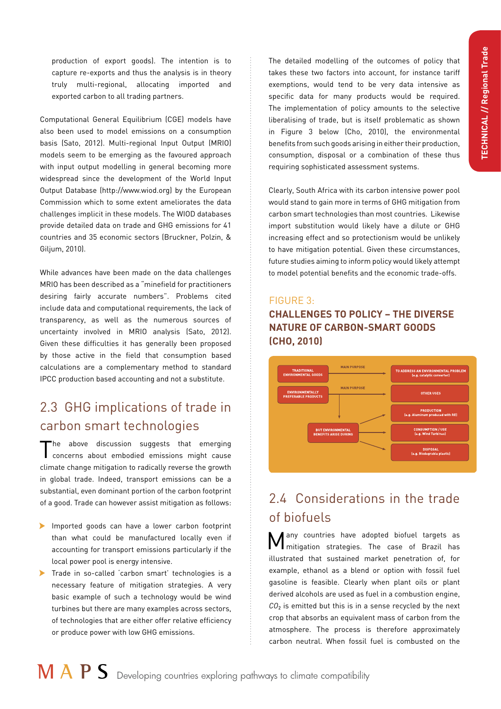production of export goods). The intention is to capture re-exports and thus the analysis is in theory truly multi-regional, allocating imported and exported carbon to all trading partners.

Computational General Equilibrium (CGE) models have also been used to model emissions on a consumption basis (Sato, 2012). Multi-regional Input Output (MRIO) models seem to be emerging as the favoured approach with input output modelling in general becoming more widespread since the development of the World Input Output Database (http://www.wiod.org) by the European Commission which to some extent ameliorates the data challenges implicit in these models. The WIOD databases provide detailed data on trade and GHG emissions for 41 countries and 35 economic sectors (Bruckner, Polzin, & Giljum, 2010).

While advances have been made on the data challenges MRIO has been described as a "minefield for practitioners desiring fairly accurate numbers". Problems cited include data and computational requirements, the lack of transparency, as well as the numerous sources of uncertainty involved in MRIO analysis (Sato, 2012). Given these difficulties it has generally been proposed by those active in the field that consumption based calculations are a complementary method to standard IPCC production based accounting and not a substitute.

# 2.3 GHG implications of trade in carbon smart technologies

The above discussion suggests that emerging concerns about embodied emissions might cause climate change mitigation to radically reverse the growth in global trade. Indeed, transport emissions can be a substantial, even dominant portion of the carbon footprint of a good. Trade can however assist mitigation as follows:

- • Imported goods can have a lower carbon footprint than what could be manufactured locally even if accounting for transport emissions particularly if the local power pool is energy intensive.
- Trade in so-called 'carbon smart' technologies is a necessary feature of mitigation strategies. A very basic example of such a technology would be wind turbines but there are many examples across sectors, of technologies that are either offer relative efficiency or produce power with low GHG emissions.

The detailed modelling of the outcomes of policy that takes these two factors into account, for instance tariff exemptions, would tend to be very data intensive as specific data for many products would be required. The implementation of policy amounts to the selective liberalising of trade, but is itself problematic as shown in Figure 3 below (Cho, 2010), the environmental benefits from such goods arising in either their production, consumption, disposal or a combination of these thus requiring sophisticated assessment systems.

Clearly, South Africa with its carbon intensive power pool would stand to gain more in terms of GHG mitigation from carbon smart technologies than most countries. Likewise import substitution would likely have a dilute or GHG increasing effect and so protectionism would be unlikely to have mitigation potential. Given these circumstances, future studies aiming to inform policy would likely attempt to model potential benefits and the economic trade-offs.

## FIGURE 3: **CHALLENGES TO POLICY – THE DIVERSE NATURE OF CARBON-SMART GOODS (CHO, 2010)**



# 2.4 Considerations in the trade of biofuels

Many countries have adopted biofuel targets as mitigation strategies. The case of Brazil has illustrated that sustained market penetration of, for example, ethanol as a blend or option with fossil fuel gasoline is feasible. Clearly when plant oils or plant derived alcohols are used as fuel in a combustion engine, *CO*<sup>²</sup> is emitted but this is in a sense recycled by the next crop that absorbs an equivalent mass of carbon from the atmosphere. The process is therefore approximately carbon neutral. When fossil fuel is combusted on the